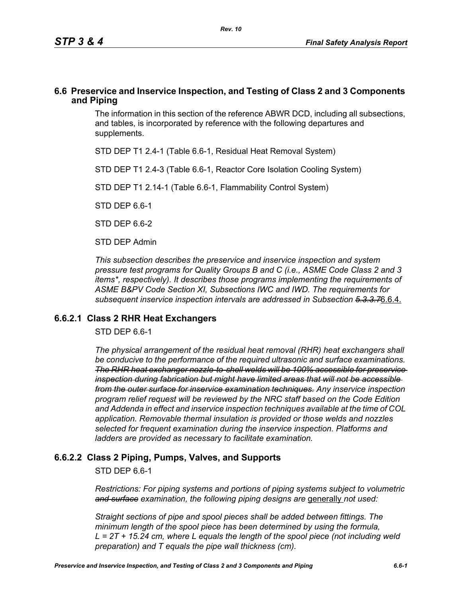### **6.6 Preservice and Inservice Inspection, and Testing of Class 2 and 3 Components and Piping**

The information in this section of the reference ABWR DCD, including all subsections, and tables, is incorporated by reference with the following departures and supplements.

STD DEP T1 2.4-1 (Table 6.6-1, Residual Heat Removal System)

STD DEP T1 2.4-3 (Table 6.6-1, Reactor Core Isolation Cooling System)

STD DEP T1 2.14-1 (Table 6.6-1, Flammability Control System)

STD DEP 6.6-1

STD DFP 6 6-2

STD DEP Admin

*This subsection describes the preservice and inservice inspection and system pressure test programs for Quality Groups B and C (i.e., ASME Code Class 2 and 3 items\*, respectively). It describes those programs implementing the requirements of ASME B&PV Code Section XI, Subsections IWC and IWD. The requirements for subsequent inservice inspection intervals are addressed in Subsection 5.3.3.7*6.6.4.

### **6.6.2.1 Class 2 RHR Heat Exchangers**

STD DEP 6.6-1

*The physical arrangement of the residual heat removal (RHR) heat exchangers shall be conducive to the performance of the required ultrasonic and surface examinations. The RHR heat exchanger nozzle-to-shell welds will be 100% accessible for preservice inspection during fabrication but might have limited areas that will not be accessible from the outer surface for inservice examination techniques. Any inservice inspection program relief request will be reviewed by the NRC staff based on the Code Edition and Addenda in effect and inservice inspection techniques available at the time of COL application. Removable thermal insulation is provided or those welds and nozzles selected for frequent examination during the inservice inspection. Platforms and ladders are provided as necessary to facilitate examination.*

# **6.6.2.2 Class 2 Piping, Pumps, Valves, and Supports**

STD DEP 6.6-1

*Restrictions: For piping systems and portions of piping systems subject to volumetric*  and surface examination, the following piping designs are generally not used:

*Straight sections of pipe and spool pieces shall be added between fittings. The minimum length of the spool piece has been determined by using the formula, L = 2T + 15.24 cm, where L equals the length of the spool piece (not including weld preparation) and T equals the pipe wall thickness (cm).*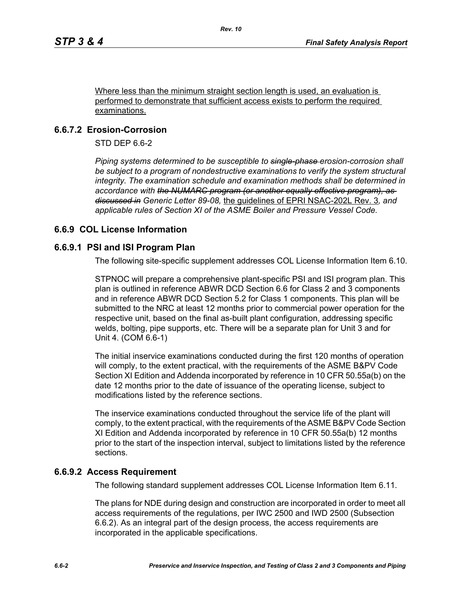Where less than the minimum straight section length is used, an evaluation is performed to demonstrate that sufficient access exists to perform the required examinations.

# **6.6.7.2 Erosion-Corrosion**

STD DEP 6.6-2

*Piping systems determined to be susceptible to single-phase erosion-corrosion shall*  be subject to a program of nondestructive examinations to verify the system structural *integrity. The examination schedule and examination methods shall be determined in accordance with the NUMARC program (or another equally effective program), as discussed in Generic Letter 89-08,* the guidelines of EPRI NSAC-202L Rev. 3*, and applicable rules of Section XI of the ASME Boiler and Pressure Vessel Code.*

# **6.6.9 COL License Information**

### **6.6.9.1 PSI and ISI Program Plan**

The following site-specific supplement addresses COL License Information Item 6.10.

STPNOC will prepare a comprehensive plant-specific PSI and ISI program plan. This plan is outlined in reference ABWR DCD Section 6.6 for Class 2 and 3 components and in reference ABWR DCD Section 5.2 for Class 1 components. This plan will be submitted to the NRC at least 12 months prior to commercial power operation for the respective unit, based on the final as-built plant configuration, addressing specific welds, bolting, pipe supports, etc. There will be a separate plan for Unit 3 and for Unit 4. (COM 6.6-1)

The initial inservice examinations conducted during the first 120 months of operation will comply, to the extent practical, with the requirements of the ASME B&PV Code Section XI Edition and Addenda incorporated by reference in 10 CFR 50.55a(b) on the date 12 months prior to the date of issuance of the operating license, subject to modifications listed by the reference sections.

The inservice examinations conducted throughout the service life of the plant will comply, to the extent practical, with the requirements of the ASME B&PV Code Section XI Edition and Addenda incorporated by reference in 10 CFR 50.55a(b) 12 months prior to the start of the inspection interval, subject to limitations listed by the reference sections.

# **6.6.9.2 Access Requirement**

The following standard supplement addresses COL License Information Item 6.11.

The plans for NDE during design and construction are incorporated in order to meet all access requirements of the regulations, per IWC 2500 and IWD 2500 (Subsection 6.6.2). As an integral part of the design process, the access requirements are incorporated in the applicable specifications.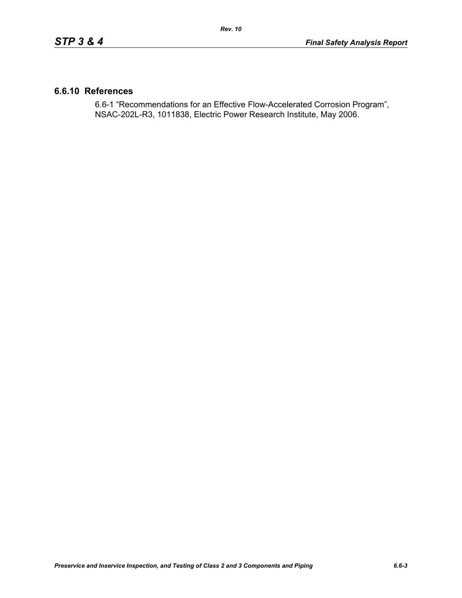### **6.6.10 References**

6.6-1 "Recommendations for an Effective Flow-Accelerated Corrosion Program", NSAC-202L-R3, 1011838, Electric Power Research Institute, May 2006.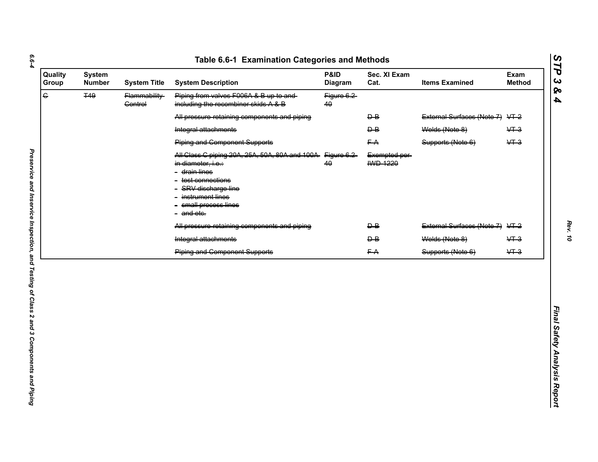| $\overline{G}$<br><b>T49</b><br>Piping from valves F006A & B up to and-<br>Flammability-<br>Figure 6.2<br>including the recombiner skids A & B<br><b>Control</b><br>40<br>All pressure retaining components and piping<br>$\overline{P}$<br>$\overline{B}$<br>Welds (Note 8)<br>Integral attachments<br><b>Piping and Component Supports</b><br>FA<br>Supports (Note 6)<br>All Class C piping 20A, 25A, 50A, 80A and 100A Figure 6.2<br>Exempted per-<br><b>IWD 1220</b><br>40<br>in diameter, i.e.:<br>- <del>drain lines</del><br>- <del>test connections</del><br>- SRV discharge line<br>instrument lines<br>- small process lines<br>- and etc. | External Surfaces (Note 7) VT-2<br>$&+3$<br>$&+3$<br>External Surfaces (Note 7) VT-2<br>$\overline{B}$<br>Welds (Note 8)<br>$&+3$<br>$\overline{P}$<br>$&+3$ |
|------------------------------------------------------------------------------------------------------------------------------------------------------------------------------------------------------------------------------------------------------------------------------------------------------------------------------------------------------------------------------------------------------------------------------------------------------------------------------------------------------------------------------------------------------------------------------------------------------------------------------------------------------|--------------------------------------------------------------------------------------------------------------------------------------------------------------|
|                                                                                                                                                                                                                                                                                                                                                                                                                                                                                                                                                                                                                                                      |                                                                                                                                                              |
|                                                                                                                                                                                                                                                                                                                                                                                                                                                                                                                                                                                                                                                      |                                                                                                                                                              |
|                                                                                                                                                                                                                                                                                                                                                                                                                                                                                                                                                                                                                                                      |                                                                                                                                                              |
|                                                                                                                                                                                                                                                                                                                                                                                                                                                                                                                                                                                                                                                      |                                                                                                                                                              |
|                                                                                                                                                                                                                                                                                                                                                                                                                                                                                                                                                                                                                                                      |                                                                                                                                                              |
| All pressure retaining components and piping                                                                                                                                                                                                                                                                                                                                                                                                                                                                                                                                                                                                         |                                                                                                                                                              |
| Integral attachments                                                                                                                                                                                                                                                                                                                                                                                                                                                                                                                                                                                                                                 |                                                                                                                                                              |
| <b>Piping and Component Supports</b><br>FA<br>Supports (Note 6)                                                                                                                                                                                                                                                                                                                                                                                                                                                                                                                                                                                      |                                                                                                                                                              |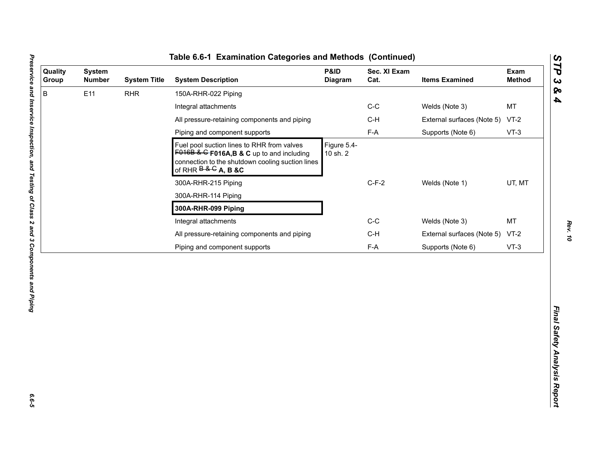| B<br>E11<br><b>RHR</b><br>150A-RHR-022 Piping<br>$C-C$<br>Welds (Note 3)<br>Integral attachments<br>All pressure-retaining components and piping<br>$C-H$<br>External surfaces (Note 5)<br>$F-A$<br>Piping and component supports<br>Supports (Note 6)<br>Figure 5.4-<br>Fuel pool suction lines to RHR from valves<br>$F016B$ & G F016A, B & C up to and including<br>10 sh. 2<br>connection to the shutdown cooling suction lines<br>of RHR $B & G$ A, B &C<br>$C-F-2$<br>Welds (Note 1)<br>300A-RHR-215 Piping<br>300A-RHR-114 Piping<br>300A-RHR-099 Piping<br>$C-C$<br>Integral attachments<br>Welds (Note 3) | MT<br>$VT-2$<br>$VT-3$<br>UT, MT<br><b>MT</b><br>$C-H$<br>External surfaces (Note 5)<br>$VT-2$<br>$F-A$<br>Supports (Note 6)<br>$VT-3$ | Quality<br>Group | <b>System</b><br><b>Number</b> | <b>System Title</b> | <b>System Description</b>                    | P&ID<br>Diagram | Sec. XI Exam<br>Cat. | <b>Items Examined</b> | Exam<br><b>Method</b> |
|--------------------------------------------------------------------------------------------------------------------------------------------------------------------------------------------------------------------------------------------------------------------------------------------------------------------------------------------------------------------------------------------------------------------------------------------------------------------------------------------------------------------------------------------------------------------------------------------------------------------|----------------------------------------------------------------------------------------------------------------------------------------|------------------|--------------------------------|---------------------|----------------------------------------------|-----------------|----------------------|-----------------------|-----------------------|
|                                                                                                                                                                                                                                                                                                                                                                                                                                                                                                                                                                                                                    |                                                                                                                                        |                  |                                |                     |                                              |                 |                      |                       |                       |
|                                                                                                                                                                                                                                                                                                                                                                                                                                                                                                                                                                                                                    |                                                                                                                                        |                  |                                |                     |                                              |                 |                      |                       |                       |
|                                                                                                                                                                                                                                                                                                                                                                                                                                                                                                                                                                                                                    |                                                                                                                                        |                  |                                |                     |                                              |                 |                      |                       |                       |
|                                                                                                                                                                                                                                                                                                                                                                                                                                                                                                                                                                                                                    |                                                                                                                                        |                  |                                |                     |                                              |                 |                      |                       |                       |
|                                                                                                                                                                                                                                                                                                                                                                                                                                                                                                                                                                                                                    |                                                                                                                                        |                  |                                |                     |                                              |                 |                      |                       |                       |
|                                                                                                                                                                                                                                                                                                                                                                                                                                                                                                                                                                                                                    |                                                                                                                                        |                  |                                |                     |                                              |                 |                      |                       |                       |
|                                                                                                                                                                                                                                                                                                                                                                                                                                                                                                                                                                                                                    |                                                                                                                                        |                  |                                |                     |                                              |                 |                      |                       |                       |
|                                                                                                                                                                                                                                                                                                                                                                                                                                                                                                                                                                                                                    |                                                                                                                                        |                  |                                |                     |                                              |                 |                      |                       |                       |
|                                                                                                                                                                                                                                                                                                                                                                                                                                                                                                                                                                                                                    |                                                                                                                                        |                  |                                |                     |                                              |                 |                      |                       |                       |
|                                                                                                                                                                                                                                                                                                                                                                                                                                                                                                                                                                                                                    |                                                                                                                                        |                  |                                |                     | All pressure-retaining components and piping |                 |                      |                       |                       |
| Piping and component supports                                                                                                                                                                                                                                                                                                                                                                                                                                                                                                                                                                                      |                                                                                                                                        |                  |                                |                     |                                              |                 |                      |                       |                       |

L

*Rev. 10*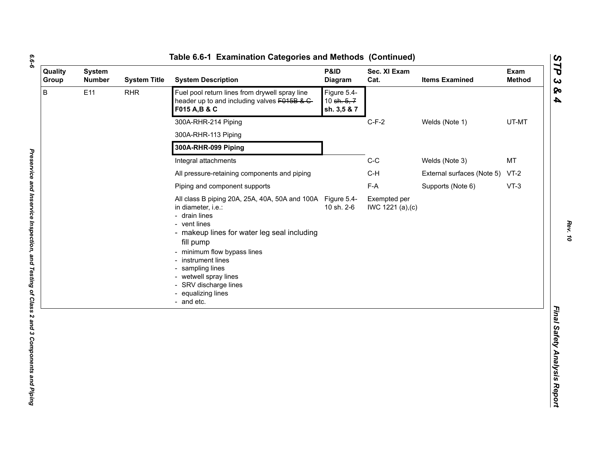| ۰. |
|----|
|    |
| ۰. |
|    |

| Quality<br>Group | <b>System</b><br><b>Number</b> | <b>System Title</b>  | <b>System Description</b>                                                                                                                                                                                                                                                                                                                    | P&ID<br>Diagram                           | Sec. XI Exam<br>Cat.              | <b>Items Examined</b>           | Exam<br><b>Method</b> |
|------------------|--------------------------------|----------------------|----------------------------------------------------------------------------------------------------------------------------------------------------------------------------------------------------------------------------------------------------------------------------------------------------------------------------------------------|-------------------------------------------|-----------------------------------|---------------------------------|-----------------------|
| B                | E11                            | <b>RHR</b>           | Fuel pool return lines from drywell spray line<br>header up to and including valves F015B & C-<br>F015 A, B & C                                                                                                                                                                                                                              | Figure 5.4-<br>10 sh. 5, 7<br>sh. 3,5 & 7 |                                   |                                 |                       |
|                  |                                |                      | 300A-RHR-214 Piping                                                                                                                                                                                                                                                                                                                          |                                           | $C-F-2$                           | Welds (Note 1)                  | UT-MT                 |
|                  |                                |                      | 300A-RHR-113 Piping                                                                                                                                                                                                                                                                                                                          |                                           |                                   |                                 |                       |
|                  |                                | 300A-RHR-099 Piping  |                                                                                                                                                                                                                                                                                                                                              |                                           |                                   |                                 |                       |
|                  |                                | Integral attachments |                                                                                                                                                                                                                                                                                                                                              | $C-C$                                     | Welds (Note 3)                    | MT                              |                       |
|                  |                                |                      | All pressure-retaining components and piping                                                                                                                                                                                                                                                                                                 |                                           | $C-H$                             | External surfaces (Note 5) VT-2 |                       |
|                  |                                |                      | Piping and component supports                                                                                                                                                                                                                                                                                                                |                                           | F-A                               | Supports (Note 6)               | $VT-3$                |
|                  |                                |                      | All class B piping 20A, 25A, 40A, 50A and 100A Figure 5.4-<br>in diameter, i.e.:<br>- drain lines<br>- vent lines<br>- makeup lines for water leg seal including<br>fill pump<br>- minimum flow bypass lines<br>- instrument lines<br>- sampling lines<br>- wetwell spray lines<br>- SRV discharge lines<br>- equalizing lines<br>- and etc. | 10 sh. 2-6                                | Exempted per<br>IWC 1221 (a), (c) |                                 |                       |
|                  |                                |                      |                                                                                                                                                                                                                                                                                                                                              |                                           |                                   |                                 |                       |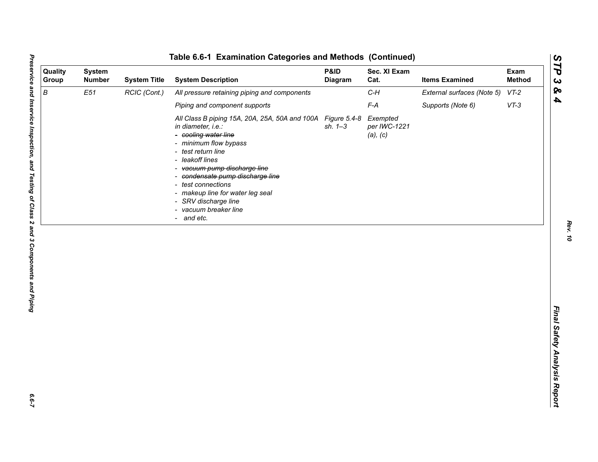*Rev. 10*